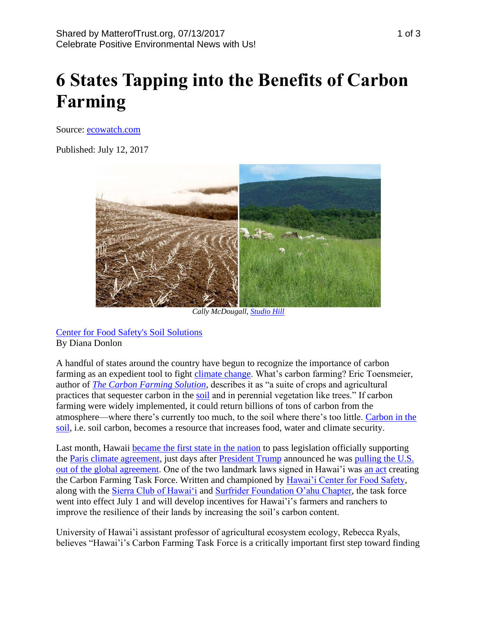## **6 States Tapping into the Benefits of Carbon Farming**

Source: [ecowatch.com](https://www.ecowatch.com/carbon-farming-2457937143.html)

Published: July 12, 2017



*Cally McDougall[, Studio Hill](http://studiohill.farm/)*

[Center for Food Safety's Soil Solutions](https://www.ecowatch.com/u/soilsolutions) By Diana Donlon

A handful of states around the country have begun to recognize the importance of carbon farming as an expedient tool to fight [climate change.](https://www.ecowatch.com/climate-change/) What's carbon farming? Eric Toensmeier, author of *[The Carbon Farming Solution,](http://www.chelseagreen.com/the-carbon-farming-solution)* describes it as "a suite of crops and agricultural practices that sequester carbon in the [soil](http://www.ecowatch.com/tag/soil) and in perennial vegetation like trees." If carbon farming were widely implemented, it could return billions of tons of carbon from the atmosphere—where there's currently too much, to the soil where there's too little. [Carbon in the](https://www.youtube.com/watch?v=NxqBzrx9yIE)  [soil,](https://www.youtube.com/watch?v=NxqBzrx9yIE) i.e. soil carbon, becomes a resource that increases food, water and climate security.

Last month, Hawaii [became the first state in the nation](http://www.centerforfoodsafety.org/press-releases/4974/hawaii-becomes-first-state-to-adopt-paris-climate-pledge) to pass legislation officially supporting the [Paris climate agreement,](http://www.ecowatch.com/tag/paris-agreement) just days after [President Trump](https://www.ecowatch.com/trump-watch/) announced he was [pulling the U.S.](http://www.centerforfoodsafety.org/press-releases/4973/trumps-decision-to-pull-the-us-out-of-paris-climate-agreement-threatens-global-food-security)  [out of the global agreement.](http://www.centerforfoodsafety.org/press-releases/4973/trumps-decision-to-pull-the-us-out-of-paris-climate-agreement-threatens-global-food-security) One of the two landmark laws signed in Hawai'i was [an act](http://www.capitol.hawaii.gov/session2017/bills/HB1578_CD1_.pdf) creating the Carbon Farming Task Force. Written and championed by [Hawai'i Center for Food Safety,](http://www.centerforfoodsafety.org/hawaii) along with the [Sierra Club of Hawaiʻi](https://sierraclubhawaii.org/) and [Surfrider Foundation O'ahu Chapter,](https://oahu.surfrider.org/) the task force went into effect July 1 and will develop incentives for Hawai'i's farmers and ranchers to improve the resilience of their lands by increasing the soil's carbon content.

University of Hawai'i assistant professor of agricultural ecosystem ecology, Rebecca Ryals, believes "Hawai'i's Carbon Farming Task Force is a critically important first step toward finding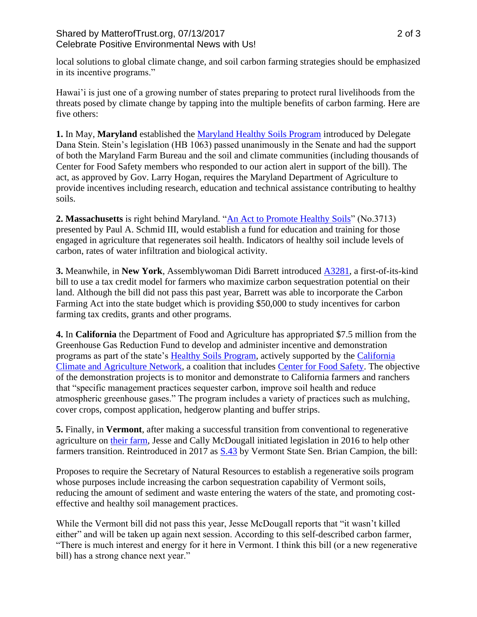## Shared by MatterofTrust.org, 07/13/2017 2 of 3 Celebrate Positive Environmental News with Us!

local solutions to global climate change, and soil carbon farming strategies should be emphasized in its incentive programs."

Hawai'i is just one of a growing number of states preparing to protect rural livelihoods from the threats posed by climate change by tapping into the multiple benefits of carbon farming. Here are five others:

**1.** In May, **Maryland** established the [Maryland Healthy Soils Program](http://mgaleg.maryland.gov/2017RS/bills/hb/hb1063T.pdf) introduced by Delegate Dana Stein. Stein's legislation (HB 1063) passed unanimously in the Senate and had the support of both the Maryland Farm Bureau and the soil and climate communities (including thousands of Center for Food Safety members who responded to our action alert in support of the bill). The act, as approved by Gov. Larry Hogan, requires the Maryland Department of Agriculture to provide incentives including research, education and technical assistance contributing to healthy soils.

**2. Massachusetts** is right behind Maryland. ["An Act to Promote Healthy Soils"](https://malegislature.gov/Bills/190/H3713.Html) (No.3713) presented by Paul A. Schmid III, would establish a fund for education and training for those engaged in agriculture that regenerates soil health. Indicators of healthy soil include levels of carbon, rates of water infiltration and biological activity.

**3.** Meanwhile, in **New York**, Assemblywoman Didi Barrett introduced [A3281,](http://legislation.nysenate.gov/pdf/bills/2017/A3281) a first-of-its-kind bill to use a tax credit model for farmers who maximize carbon sequestration potential on their land. Although the bill did not pass this past year, Barrett was able to incorporate the Carbon Farming Act into the state budget which is providing \$50,000 to study incentives for carbon farming tax credits, grants and other programs.

**4.** In **California** the Department of Food and Agriculture has appropriated \$7.5 million from the Greenhouse Gas Reduction Fund to develop and administer incentive and demonstration programs as part of the state's [Healthy Soils Program,](https://www.cdfa.ca.gov/oefi/healthysoils/) actively supported by the [California](http://calclimateag.org/)  [Climate and Agriculture Network,](http://calclimateag.org/) a coalition that includes [Center for Food Safety.](https://soilsolution.org/u-s-state-policy/) The objective of the demonstration projects is to monitor and demonstrate to California farmers and ranchers that "specific management practices sequester carbon, improve soil health and reduce atmospheric greenhouse gases." The program includes a variety of practices such as mulching, cover crops, compost application, hedgerow planting and buffer strips.

**5.** Finally, in **Vermont**, after making a successful transition from conventional to regenerative agriculture on [their farm,](http://studiohill.farm/) Jesse and Cally McDougall initiated legislation in 2016 to help other farmers transition. Reintroduced in 2017 as [S.43](http://legislature.vermont.gov/assets/Documents/2018/Docs/BILLS/S-0043/S-0043%2520As%2520Introduced.pdf) by Vermont State Sen. Brian Campion, the bill:

Proposes to require the Secretary of Natural Resources to establish a regenerative soils program whose purposes include increasing the carbon sequestration capability of Vermont soils, reducing the amount of sediment and waste entering the waters of the state, and promoting costeffective and healthy soil management practices.

While the Vermont bill did not pass this year, Jesse McDougall reports that "it wasn't killed either" and will be taken up again next session. According to this self-described carbon farmer, "There is much interest and energy for it here in Vermont. I think this bill (or a new regenerative bill) has a strong chance next year."